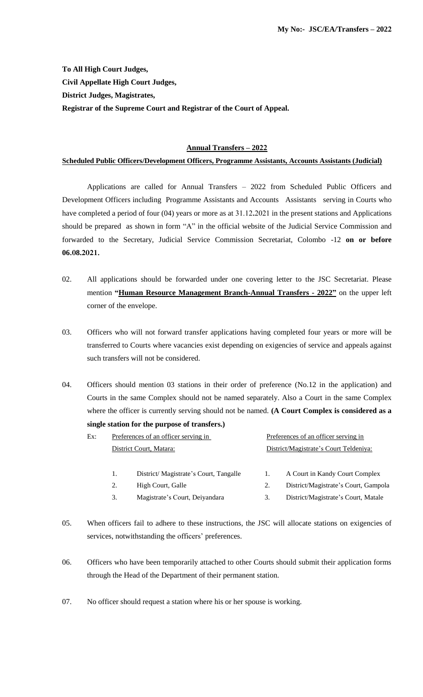**To All High Court Judges, Civil Appellate High Court Judges, District Judges, Magistrates, Registrar of the Supreme Court and Registrar of the Court of Appeal.**

#### **Annual Transfers – 2022**

#### **Scheduled Public Officers/Development Officers, Programme Assistants, Accounts Assistants (Judicial)**

Applications are called for Annual Transfers – 2022 from Scheduled Public Officers and Development Officers including Programme Assistants and Accounts Assistants serving in Courts who have completed a period of four (04) years or more as at 31.12**.**2021 in the present stations and Applications should be prepared as shown in form "A" in the official website of the Judicial Service Commission and forwarded to the Secretary, Judicial Service Commission Secretariat, Colombo -12 **on or before 06.08.2021.**

- 02. All applications should be forwarded under one covering letter to the JSC Secretariat. Please mention **"Human Resource Management Branch-Annual Transfers - 2022"** on the upper left corner of the envelope.
- 03. Officers who will not forward transfer applications having completed four years or more will be transferred to Courts where vacancies exist depending on exigencies of service and appeals against such transfers will not be considered.
- 04. Officers should mention 03 stations in their order of preference (No.12 in the application) and Courts in the same Complex should not be named separately. Also a Court in the same Complex where the officer is currently serving should not be named. **(A Court Complex is considered as a single station for the purpose of transfers.)**

| Ex: | Preferences of an officer serving in |                                       |  | Preferences of an officer serving in<br>District/Magistrate's Court Teldeniya: |  |  |
|-----|--------------------------------------|---------------------------------------|--|--------------------------------------------------------------------------------|--|--|
|     |                                      | District Court, Matara:               |  |                                                                                |  |  |
|     |                                      | District/Magistrate's Court, Tangalle |  | A Court in Kandy Court Complex                                                 |  |  |
|     | 2.                                   | High Court, Galle                     |  | District/Magistrate's Court, Gampola                                           |  |  |
|     | 3.                                   | Magistrate's Court, Deiyandara        |  | District/Magistrate's Court, Matale                                            |  |  |

- 05. When officers fail to adhere to these instructions, the JSC will allocate stations on exigencies of services, notwithstanding the officers' preferences.
- 06. Officers who have been temporarily attached to other Courts should submit their application forms through the Head of the Department of their permanent station.
- 07. No officer should request a station where his or her spouse is working.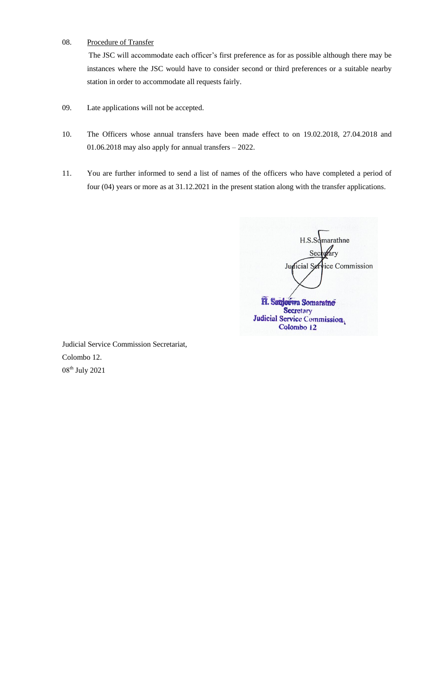# 08. Procedure of Transfer

The JSC will accommodate each officer's first preference as for as possible although there may be instances where the JSC would have to consider second or third preferences or a suitable nearby station in order to accommodate all requests fairly.

- 09. Late applications will not be accepted.
- 10. The Officers whose annual transfers have been made effect to on 19.02.2018, 27.04.2018 and 01.06.2018 may also apply for annual transfers – 2022.
- 11. You are further informed to send a list of names of the officers who have completed a period of four (04) years or more as at 31.12.2021 in the present station along with the transfer applications.

H.S.Somarathne Secretary Secretary Judicial Service Commission H. Sanjeewa Somaratne Secretary Judicial Service Commission Colombo 12

Judicial Service Commission Secretariat, Colombo 12. 08th July 2021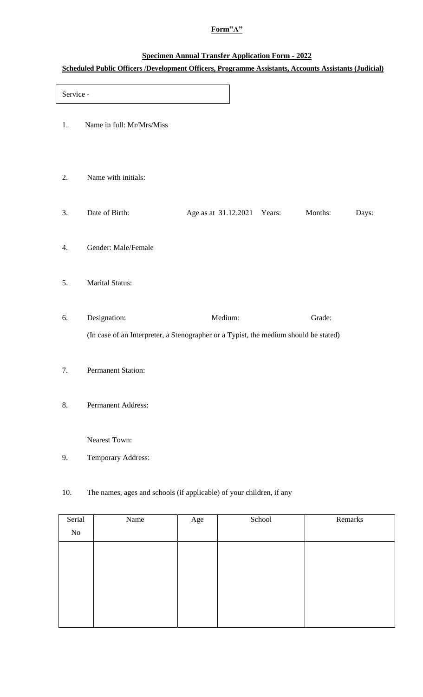### **Form"A"**

## **Specimen Annual Transfer Application Form - 2022**

## **Scheduled Public Officers /Development Officers, Programme Assistants, Accounts Assistants (Judicial)**

| Service - |                                                                                                      |                             |         |       |
|-----------|------------------------------------------------------------------------------------------------------|-----------------------------|---------|-------|
| 1.        | Name in full: Mr/Mrs/Miss                                                                            |                             |         |       |
| 2.        | Name with initials:                                                                                  |                             |         |       |
| 3.        | Date of Birth:                                                                                       | Age as at 31.12.2021 Years: | Months: | Days: |
| 4.        | Gender: Male/Female                                                                                  |                             |         |       |
| 5.        | Marital Status:                                                                                      |                             |         |       |
| 6.        | Designation:<br>(In case of an Interpreter, a Stenographer or a Typist, the medium should be stated) | Medium:                     | Grade:  |       |
| 7.        | <b>Permanent Station:</b>                                                                            |                             |         |       |
| 8.        | <b>Permanent Address:</b>                                                                            |                             |         |       |
|           | <b>Nearest Town:</b>                                                                                 |                             |         |       |

9. Temporary Address:

## 10. The names, ages and schools (if applicable) of your children, if any

| Serial | Name | Age | School | Remarks |
|--------|------|-----|--------|---------|
| No     |      |     |        |         |
|        |      |     |        |         |
|        |      |     |        |         |
|        |      |     |        |         |
|        |      |     |        |         |
|        |      |     |        |         |
|        |      |     |        |         |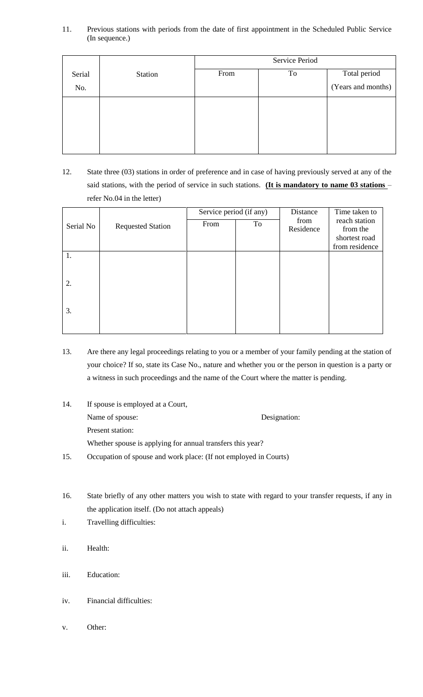11. Previous stations with periods from the date of first appointment in the Scheduled Public Service (In sequence.)

|        |         | Service Period |    |                                    |  |
|--------|---------|----------------|----|------------------------------------|--|
| Serial | Station | From           | To | Total period<br>(Years and months) |  |
| No.    |         |                |    |                                    |  |
|        |         |                |    |                                    |  |
|        |         |                |    |                                    |  |
|        |         |                |    |                                    |  |
|        |         |                |    |                                    |  |

12. State three (03) stations in order of preference and in case of having previously served at any of the said stations, with the period of service in such stations. **(It is mandatory to name 03 stations** – refer No.04 in the letter)

|           |                          | Service period (if any) |    | Distance          | Time taken to             |  |
|-----------|--------------------------|-------------------------|----|-------------------|---------------------------|--|
| Serial No | <b>Requested Station</b> | From                    | To | from<br>Residence | reach station<br>from the |  |
|           |                          |                         |    |                   | shortest road             |  |
|           |                          |                         |    |                   | from residence            |  |
| 1.        |                          |                         |    |                   |                           |  |
|           |                          |                         |    |                   |                           |  |
| 2.        |                          |                         |    |                   |                           |  |
|           |                          |                         |    |                   |                           |  |
|           |                          |                         |    |                   |                           |  |
| 3.        |                          |                         |    |                   |                           |  |
|           |                          |                         |    |                   |                           |  |
|           |                          |                         |    |                   |                           |  |

- 13. Are there any legal proceedings relating to you or a member of your family pending at the station of your choice? If so, state its Case No., nature and whether you or the person in question is a party or a witness in such proceedings and the name of the Court where the matter is pending.
- 14. If spouse is employed at a Court, Name of spouse: Designation: Present station: Whether spouse is applying for annual transfers this year? 15. Occupation of spouse and work place: (If not employed in Courts)
- 16. State briefly of any other matters you wish to state with regard to your transfer requests, if any in the application itself. (Do not attach appeals)
- i. Travelling difficulties:
- ii. Health:
- iii. Education:
- iv. Financial difficulties:
- v. Other: